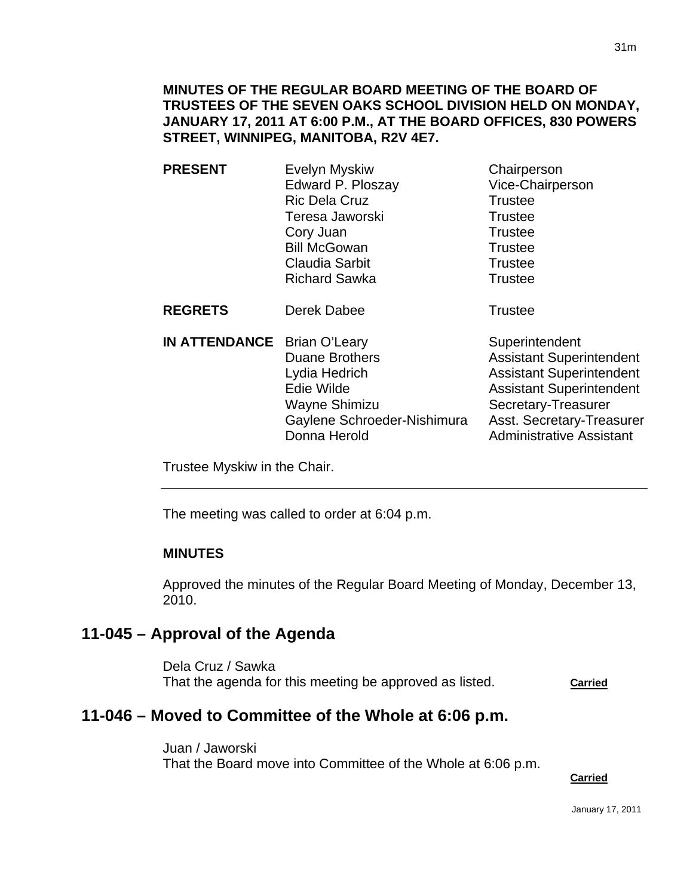### **MINUTES OF THE REGULAR BOARD MEETING OF THE BOARD OF TRUSTEES OF THE SEVEN OAKS SCHOOL DIVISION HELD ON MONDAY, JANUARY 17, 2011 AT 6:00 P.M., AT THE BOARD OFFICES, 830 POWERS STREET, WINNIPEG, MANITOBA, R2V 4E7.**

| <b>PRESENT</b>                     | Evelyn Myskiw<br>Edward P. Ploszay<br><b>Ric Dela Cruz</b><br>Teresa Jaworski<br>Cory Juan<br><b>Bill McGowan</b><br>Claudia Sarbit<br><b>Richard Sawka</b> | Chairperson<br>Vice-Chairperson<br><b>Trustee</b><br><b>Trustee</b><br><b>Trustee</b><br><b>Trustee</b><br><b>Trustee</b><br><b>Trustee</b> |
|------------------------------------|-------------------------------------------------------------------------------------------------------------------------------------------------------------|---------------------------------------------------------------------------------------------------------------------------------------------|
| <b>REGRETS</b>                     | Derek Dabee                                                                                                                                                 | <b>Trustee</b>                                                                                                                              |
| <b>IN ATTENDANCE</b> Brian O'Leary | <b>Duane Brothers</b>                                                                                                                                       | Superintendent<br><b>Assistant Superintendent</b><br>$\sim$ $\sim$ $\sim$ $\sim$ $\sim$ $\sim$                                              |

Lydia Hedrich **Assistant Superintendent** Edie Wilde **Assistant Superintendent** Wayne Shimizu Secretary-Treasurer Gaylene Schroeder-Nishimura Asst. Secretary-Treasurer Donna Herold **Administrative Assistant** 

Trustee Myskiw in the Chair.

The meeting was called to order at 6:04 p.m.

### **MINUTES**

Ī

Approved the minutes of the Regular Board Meeting of Monday, December 13, 2010.

## **11-045 – Approval of the Agenda**

Dela Cruz / Sawka That the agenda for this meeting be approved as listed. **Carried**

# **11-046 – Moved to Committee of the Whole at 6:06 p.m.**

Juan / Jaworski That the Board move into Committee of the Whole at 6:06 p.m.

**Carried**

January 17, 2011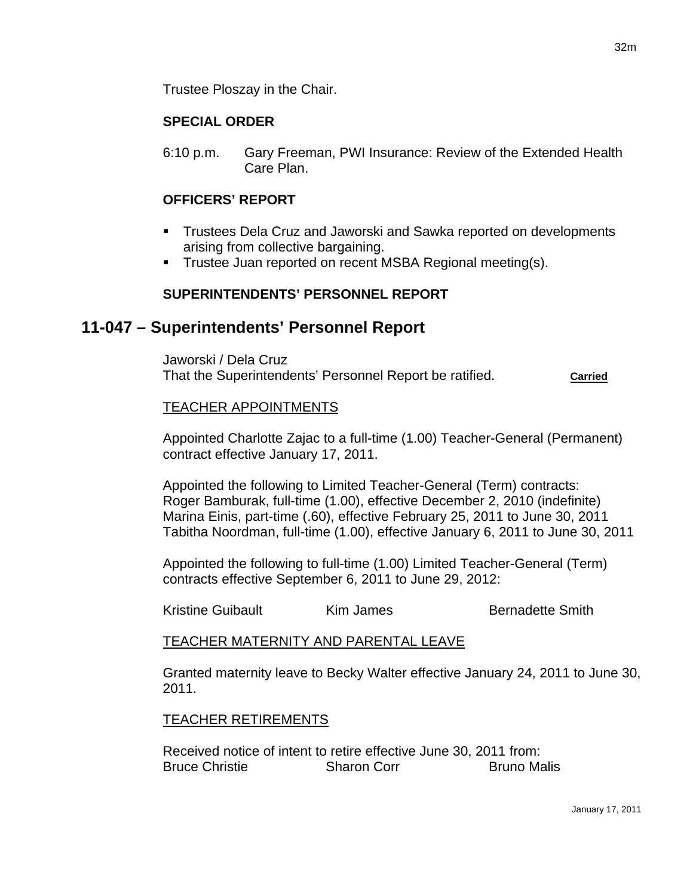## **SPECIAL ORDER**

6:10 p.m. Gary Freeman, PWI Insurance: Review of the Extended Health Care Plan.

## **OFFICERS' REPORT**

- Trustees Dela Cruz and Jaworski and Sawka reported on developments arising from collective bargaining.
- **Trustee Juan reported on recent MSBA Regional meeting(s).**

## **SUPERINTENDENTS' PERSONNEL REPORT**

## **11-047 – Superintendents' Personnel Report**

Jaworski / Dela Cruz That the Superintendents' Personnel Report be ratified. **Carried**

### TEACHER APPOINTMENTS

Appointed Charlotte Zajac to a full-time (1.00) Teacher-General (Permanent) contract effective January 17, 2011.

Appointed the following to Limited Teacher-General (Term) contracts: Roger Bamburak, full-time (1.00), effective December 2, 2010 (indefinite) Marina Einis, part-time (.60), effective February 25, 2011 to June 30, 2011 Tabitha Noordman, full-time (1.00), effective January 6, 2011 to June 30, 2011

Appointed the following to full-time (1.00) Limited Teacher-General (Term) contracts effective September 6, 2011 to June 29, 2012:

Kristine Guibault **Kim James** Bernadette Smith

### TEACHER MATERNITY AND PARENTAL LEAVE

Granted maternity leave to Becky Walter effective January 24, 2011 to June 30, 2011.

### TEACHER RETIREMENTS

Received notice of intent to retire effective June 30, 2011 from: Bruce Christie Sharon Corr Bruno Malis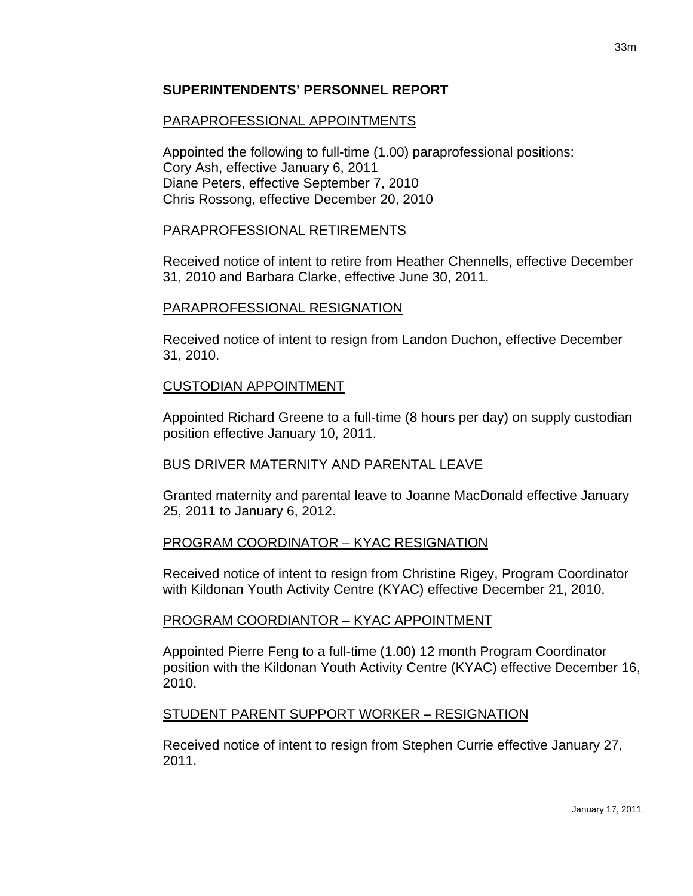### **SUPERINTENDENTS' PERSONNEL REPORT**

### PARAPROFESSIONAL APPOINTMENTS

Appointed the following to full-time (1.00) paraprofessional positions: Cory Ash, effective January 6, 2011 Diane Peters, effective September 7, 2010 Chris Rossong, effective December 20, 2010

### PARAPROFESSIONAL RETIREMENTS

Received notice of intent to retire from Heather Chennells, effective December 31, 2010 and Barbara Clarke, effective June 30, 2011.

### PARAPROFESSIONAL RESIGNATION

Received notice of intent to resign from Landon Duchon, effective December 31, 2010.

### CUSTODIAN APPOINTMENT

Appointed Richard Greene to a full-time (8 hours per day) on supply custodian position effective January 10, 2011.

### BUS DRIVER MATERNITY AND PARENTAL LEAVE

Granted maternity and parental leave to Joanne MacDonald effective January 25, 2011 to January 6, 2012.

### PROGRAM COORDINATOR – KYAC RESIGNATION

Received notice of intent to resign from Christine Rigey, Program Coordinator with Kildonan Youth Activity Centre (KYAC) effective December 21, 2010.

## PROGRAM COORDIANTOR – KYAC APPOINTMENT

Appointed Pierre Feng to a full-time (1.00) 12 month Program Coordinator position with the Kildonan Youth Activity Centre (KYAC) effective December 16, 2010.

### STUDENT PARENT SUPPORT WORKER – RESIGNATION

Received notice of intent to resign from Stephen Currie effective January 27, 2011.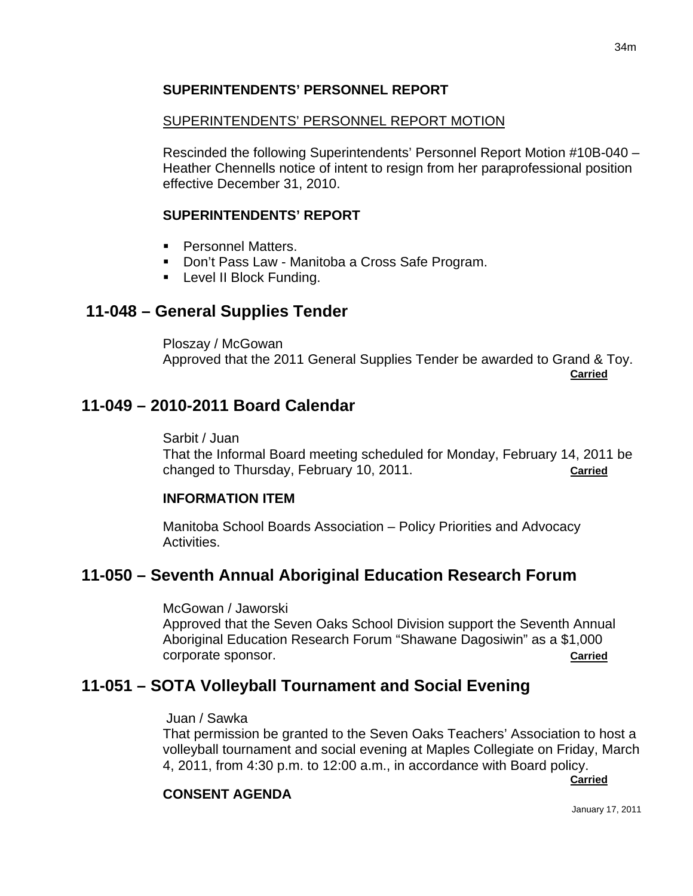## **SUPERINTENDENTS' PERSONNEL REPORT**

### SUPERINTENDENTS' PERSONNEL REPORT MOTION

Rescinded the following Superintendents' Personnel Report Motion #10B-040 – Heather Chennells notice of intent to resign from her paraprofessional position effective December 31, 2010.

### **SUPERINTENDENTS' REPORT**

- **Personnel Matters.**
- **Don't Pass Law Manitoba a Cross Safe Program.**
- **Level II Block Funding.**

## **11-048 – General Supplies Tender**

Ploszay / McGowan Approved that the 2011 General Supplies Tender be awarded to Grand & Toy. **Carried**

## **11-049 – 2010-2011 Board Calendar**

Sarbit / Juan

That the Informal Board meeting scheduled for Monday, February 14, 2011 be changed to Thursday, February 10, 2011. **Carried**

### **INFORMATION ITEM**

Manitoba School Boards Association – Policy Priorities and Advocacy Activities.

## **11-050 – Seventh Annual Aboriginal Education Research Forum**

McGowan / Jaworski

Approved that the Seven Oaks School Division support the Seventh Annual Aboriginal Education Research Forum "Shawane Dagosiwin" as a \$1,000 corporate sponsor. **Carried**

## **11-051 – SOTA Volleyball Tournament and Social Evening**

#### Juan / Sawka

That permission be granted to the Seven Oaks Teachers' Association to host a volleyball tournament and social evening at Maples Collegiate on Friday, March 4, 2011, from 4:30 p.m. to 12:00 a.m., in accordance with Board policy.

**Carried**

## **CONSENT AGENDA**

January 17, 2011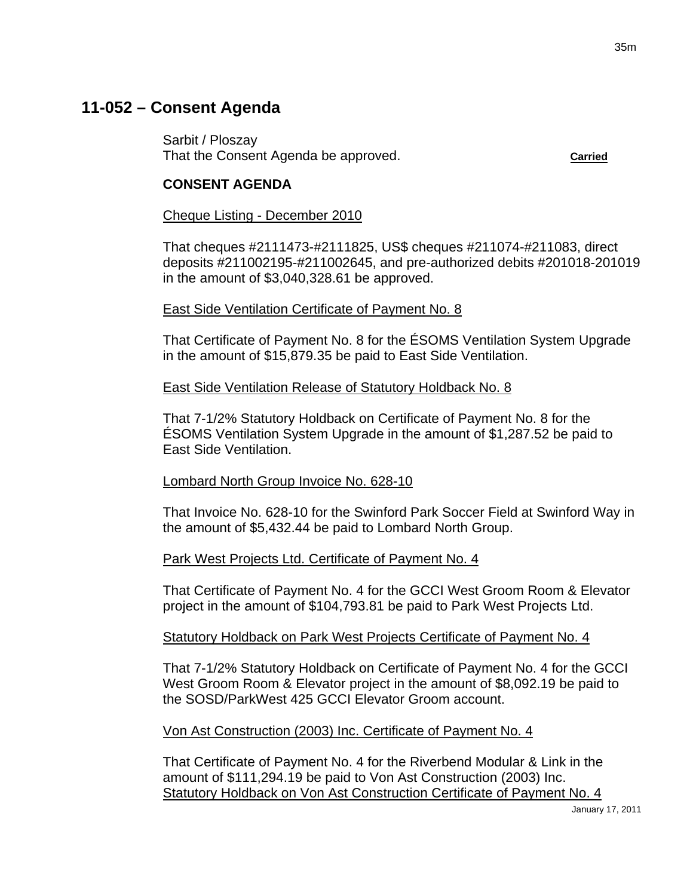# **11-052 – Consent Agenda**

Sarbit / Ploszay That the Consent Agenda be approved. **Carried**

#### **CONSENT AGENDA**

#### Cheque Listing - December 2010

That cheques #2111473-#2111825, US\$ cheques #211074-#211083, direct deposits #211002195-#211002645, and pre-authorized debits #201018-201019 in the amount of \$3,040,328.61 be approved.

#### East Side Ventilation Certificate of Payment No. 8

That Certificate of Payment No. 8 for the ÉSOMS Ventilation System Upgrade in the amount of \$15,879.35 be paid to East Side Ventilation.

#### East Side Ventilation Release of Statutory Holdback No. 8

That 7-1/2% Statutory Holdback on Certificate of Payment No. 8 for the ÉSOMS Ventilation System Upgrade in the amount of \$1,287.52 be paid to East Side Ventilation.

### Lombard North Group Invoice No. 628-10

That Invoice No. 628-10 for the Swinford Park Soccer Field at Swinford Way in the amount of \$5,432.44 be paid to Lombard North Group.

### Park West Projects Ltd. Certificate of Payment No. 4

That Certificate of Payment No. 4 for the GCCI West Groom Room & Elevator project in the amount of \$104,793.81 be paid to Park West Projects Ltd.

### Statutory Holdback on Park West Projects Certificate of Payment No. 4

That 7-1/2% Statutory Holdback on Certificate of Payment No. 4 for the GCCI West Groom Room & Elevator project in the amount of \$8,092.19 be paid to the SOSD/ParkWest 425 GCCI Elevator Groom account.

### Von Ast Construction (2003) Inc. Certificate of Payment No. 4

That Certificate of Payment No. 4 for the Riverbend Modular & Link in the amount of \$111,294.19 be paid to Von Ast Construction (2003) Inc. Statutory Holdback on Von Ast Construction Certificate of Payment No. 4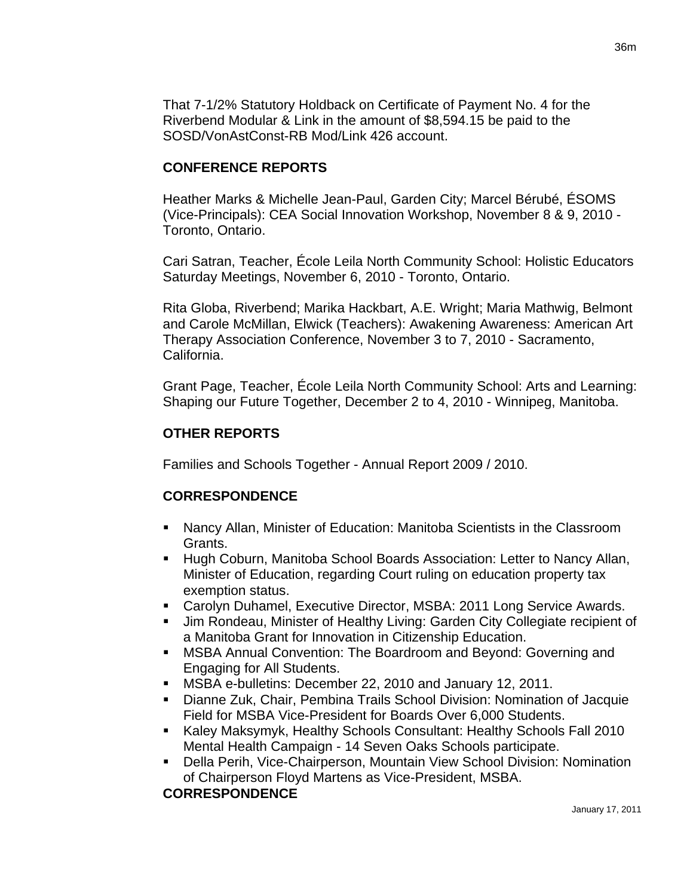That 7-1/2% Statutory Holdback on Certificate of Payment No. 4 for the Riverbend Modular & Link in the amount of \$8,594.15 be paid to the SOSD/VonAstConst-RB Mod/Link 426 account.

### **CONFERENCE REPORTS**

Heather Marks & Michelle Jean-Paul, Garden City; Marcel Bérubé, ÉSOMS (Vice-Principals): CEA Social Innovation Workshop, November 8 & 9, 2010 - Toronto, Ontario.

Cari Satran, Teacher, École Leila North Community School: Holistic Educators Saturday Meetings, November 6, 2010 - Toronto, Ontario.

Rita Globa, Riverbend; Marika Hackbart, A.E. Wright; Maria Mathwig, Belmont and Carole McMillan, Elwick (Teachers): Awakening Awareness: American Art Therapy Association Conference, November 3 to 7, 2010 - Sacramento, California.

Grant Page, Teacher, École Leila North Community School: Arts and Learning: Shaping our Future Together, December 2 to 4, 2010 - Winnipeg, Manitoba.

## **OTHER REPORTS**

Families and Schools Together - Annual Report 2009 / 2010.

## **CORRESPONDENCE**

- Nancy Allan, Minister of Education: Manitoba Scientists in the Classroom Grants.
- **Hugh Coburn, Manitoba School Boards Association: Letter to Nancy Allan,** Minister of Education, regarding Court ruling on education property tax exemption status.
- Carolyn Duhamel, Executive Director, MSBA: 2011 Long Service Awards.
- Jim Rondeau, Minister of Healthy Living: Garden City Collegiate recipient of a Manitoba Grant for Innovation in Citizenship Education.
- MSBA Annual Convention: The Boardroom and Beyond: Governing and Engaging for All Students.
- MSBA e-bulletins: December 22, 2010 and January 12, 2011.
- Dianne Zuk, Chair, Pembina Trails School Division: Nomination of Jacquie Field for MSBA Vice-President for Boards Over 6,000 Students.
- Kaley Maksymyk, Healthy Schools Consultant: Healthy Schools Fall 2010 Mental Health Campaign - 14 Seven Oaks Schools participate.
- Della Perih, Vice-Chairperson, Mountain View School Division: Nomination of Chairperson Floyd Martens as Vice-President, MSBA.

## **CORRESPONDENCE**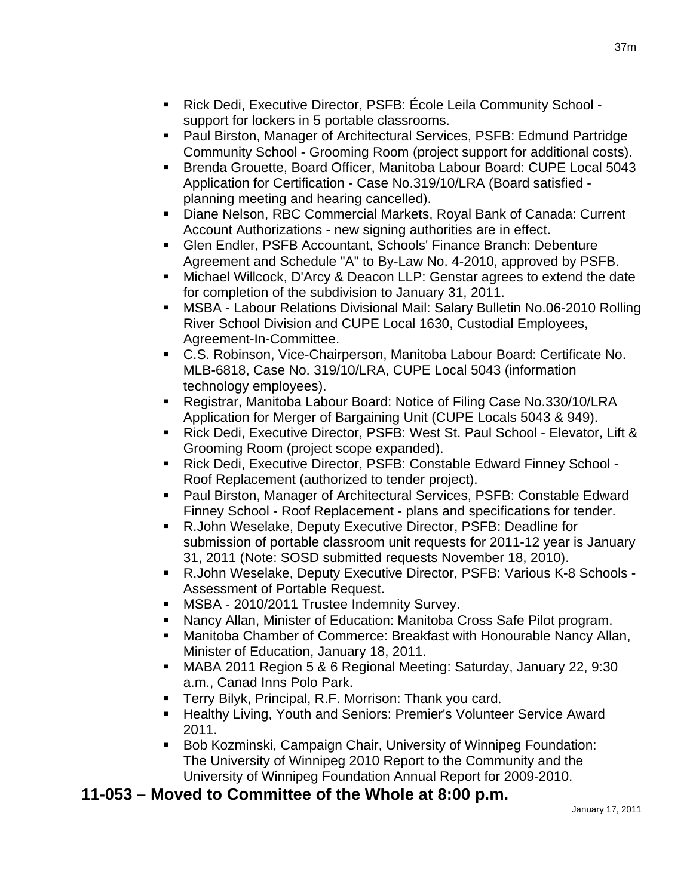- Rick Dedi, Executive Director, PSFB: École Leila Community School support for lockers in 5 portable classrooms.
- Paul Birston, Manager of Architectural Services, PSFB: Edmund Partridge Community School - Grooming Room (project support for additional costs).
- Brenda Grouette, Board Officer, Manitoba Labour Board: CUPE Local 5043 Application for Certification - Case No.319/10/LRA (Board satisfied planning meeting and hearing cancelled).
- Diane Nelson, RBC Commercial Markets, Royal Bank of Canada: Current Account Authorizations - new signing authorities are in effect.
- Glen Endler, PSFB Accountant, Schools' Finance Branch: Debenture Agreement and Schedule "A" to By-Law No. 4-2010, approved by PSFB.
- Michael Willcock, D'Arcy & Deacon LLP: Genstar agrees to extend the date for completion of the subdivision to January 31, 2011.
- MSBA Labour Relations Divisional Mail: Salary Bulletin No.06-2010 Rolling River School Division and CUPE Local 1630, Custodial Employees, Agreement-In-Committee.
- C.S. Robinson, Vice-Chairperson, Manitoba Labour Board: Certificate No. MLB-6818, Case No. 319/10/LRA, CUPE Local 5043 (information technology employees).
- Registrar, Manitoba Labour Board: Notice of Filing Case No.330/10/LRA Application for Merger of Bargaining Unit (CUPE Locals 5043 & 949).
- Rick Dedi, Executive Director, PSFB: West St. Paul School Elevator, Lift & Grooming Room (project scope expanded).
- Rick Dedi, Executive Director, PSFB: Constable Edward Finney School Roof Replacement (authorized to tender project).
- Paul Birston, Manager of Architectural Services, PSFB: Constable Edward Finney School - Roof Replacement - plans and specifications for tender.
- R.John Weselake, Deputy Executive Director, PSFB: Deadline for submission of portable classroom unit requests for 2011-12 year is January 31, 2011 (Note: SOSD submitted requests November 18, 2010).
- R.John Weselake, Deputy Executive Director, PSFB: Various K-8 Schools Assessment of Portable Request.
- **MSBA 2010/2011 Trustee Indemnity Survey.**
- Nancy Allan, Minister of Education: Manitoba Cross Safe Pilot program.
- Manitoba Chamber of Commerce: Breakfast with Honourable Nancy Allan, Minister of Education, January 18, 2011.
- MABA 2011 Region 5 & 6 Regional Meeting: Saturday, January 22, 9:30 a.m., Canad Inns Polo Park.
- **Terry Bilyk, Principal, R.F. Morrison: Thank you card.**
- **Healthy Living, Youth and Seniors: Premier's Volunteer Service Award** 2011.
- **Bob Kozminski, Campaign Chair, University of Winnipeg Foundation:** The University of Winnipeg 2010 Report to the Community and the University of Winnipeg Foundation Annual Report for 2009-2010.

# **11-053 – Moved to Committee of the Whole at 8:00 p.m.**